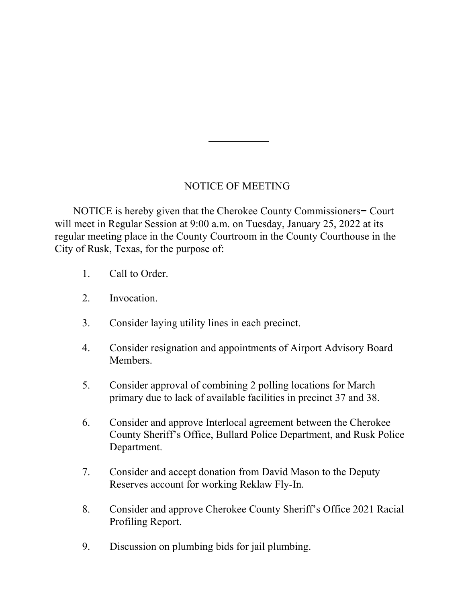## NOTICE OF MEETING

 NOTICE is hereby given that the Cherokee County Commissioners= Court will meet in Regular Session at 9:00 a.m. on Tuesday, January 25, 2022 at its regular meeting place in the County Courtroom in the County Courthouse in the City of Rusk, Texas, for the purpose of:

- 1. Call to Order.
- 2. Invocation.
- 3. Consider laying utility lines in each precinct.
- 4. Consider resignation and appointments of Airport Advisory Board Members.
- 5. Consider approval of combining 2 polling locations for March primary due to lack of available facilities in precinct 37 and 38.
- 6. Consider and approve Interlocal agreement between the Cherokee County Sheriff's Office, Bullard Police Department, and Rusk Police Department.
- 7. Consider and accept donation from David Mason to the Deputy Reserves account for working Reklaw Fly-In.
- 8. Consider and approve Cherokee County Sheriff's Office 2021 Racial Profiling Report.
- 9. Discussion on plumbing bids for jail plumbing.